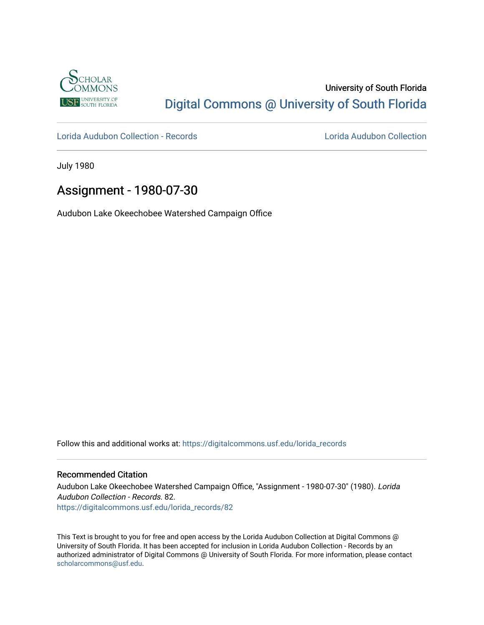

## University of South Florida [Digital Commons @ University of South Florida](https://digitalcommons.usf.edu/)

[Lorida Audubon Collection - Records](https://digitalcommons.usf.edu/lorida_records) [Lorida Audubon Collection](https://digitalcommons.usf.edu/lorida) 

July 1980

## Assignment - 1980-07-30

Audubon Lake Okeechobee Watershed Campaign Office

Follow this and additional works at: [https://digitalcommons.usf.edu/lorida\\_records](https://digitalcommons.usf.edu/lorida_records?utm_source=digitalcommons.usf.edu%2Florida_records%2F82&utm_medium=PDF&utm_campaign=PDFCoverPages)

## Recommended Citation

Audubon Lake Okeechobee Watershed Campaign Office, "Assignment - 1980-07-30" (1980). Lorida Audubon Collection - Records. 82. [https://digitalcommons.usf.edu/lorida\\_records/82](https://digitalcommons.usf.edu/lorida_records/82?utm_source=digitalcommons.usf.edu%2Florida_records%2F82&utm_medium=PDF&utm_campaign=PDFCoverPages) 

This Text is brought to you for free and open access by the Lorida Audubon Collection at Digital Commons @ University of South Florida. It has been accepted for inclusion in Lorida Audubon Collection - Records by an authorized administrator of Digital Commons @ University of South Florida. For more information, please contact [scholarcommons@usf.edu.](mailto:scholarcommons@usf.edu)